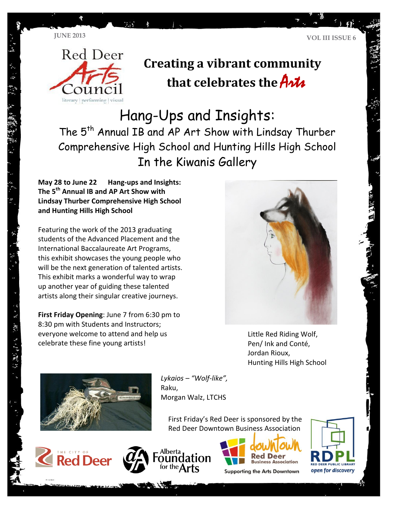



# **Creating a vibrant community that celebrates the** Arts

## Hang-Ups and Insights:

The 5<sup>th</sup> Annual IB and AP Art Show with Lindsay Thurber Comprehensive High School and Hunting Hills High School In the Kiwanis Gallery

**May 28 to June 22 Hang-ups and Insights: The 5th Annual IB and AP Art Show with Lindsay Thurber Comprehensive High School and Hunting Hills High School**

Featuring the work of the 2013 graduating students of the Advanced Placement and the International Baccalaureate Art Programs, this exhibit showcases the young people who will be the next generation of talented artists. This exhibit marks a wonderful way to wrap up another year of guiding these talented artists along their singular creative journeys.

**First Friday Opening**: June 7 from 6:30 pm to 8:30 pm with Students and Instructors; everyone welcome to attend and help us celebrate these fine young artists!



Little Red Riding Wolf, Pen/ Ink and Conté, Jordan Rioux, Hunting Hills High School



*Lykaios – "Wolf-like",* Raku, Morgan Walz, LTCHS

First Friday's Red Deer is sponsored by the Red Deer Downtown Business Association







**Supporting the Arts Downtown** 

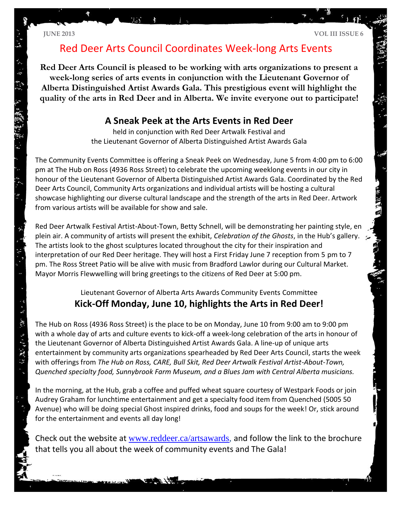医精神病

 $\ddot{\omega}$ 

## Red Deer Arts Council Coordinates Week-long Arts Events

**Red Deer Arts Council is pleased to be working with arts organizations to present a week-long series of arts events in conjunction with the Lieutenant Governor of Alberta Distinguished Artist Awards Gala. This prestigious event will highlight the quality of the arts in Red Deer and in Alberta. We invite everyone out to participate!**

#### **A Sneak Peek at the Arts Events in Red Deer**

held in conjunction with Red Deer Artwalk Festival and the Lieutenant Governor of Alberta Distinguished Artist Awards Gala

The Community Events Committee is offering a Sneak Peek on Wednesday, June 5 from 4:00 pm to 6:00 pm at The Hub on Ross (4936 Ross Street) to celebrate the upcoming weeklong events in our city in honour of the Lieutenant Governor of Alberta Distinguished Artist Awards Gala. Coordinated by the Red Deer Arts Council, Community Arts organizations and individual artists will be hosting a cultural showcase highlighting our diverse cultural landscape and the strength of the arts in Red Deer. Artwork from various artists will be available for show and sale.

Red Deer Artwalk Festival Artist-About-Town, Betty Schnell, will be demonstrating her painting style, en plein air. A community of artists will present the exhibit, *Celebration of the Ghosts*, in the Hub's gallery. The artists look to the ghost sculptures located throughout the city for their inspiration and interpretation of our Red Deer heritage. They will host a First Friday June 7 reception from 5 pm to 7 pm. The Ross Street Patio will be alive with music from Bradford Lawlor during our Cultural Market. Mayor Morris Flewwelling will bring greetings to the citizens of Red Deer at 5:00 pm.

#### Lieutenant Governor of Alberta Arts Awards Community Events Committee **Kick-Off Monday, June 10, highlights the Arts in Red Deer!**

The Hub on Ross (4936 Ross Street) is the place to be on Monday, June 10 from 9:00 am to 9:00 pm with a whole day of arts and culture events to kick-off a week-long celebration of the arts in honour of the Lieutenant Governor of Alberta Distinguished Artist Awards Gala. A line-up of unique arts entertainment by community arts organizations spearheaded by Red Deer Arts Council, starts the week with offerings from *The Hub on Ross, CARE, Bull Skit, Red Deer Artwalk Festival Artist-About-Town, Quenched specialty food, Sunnybrook Farm Museum, and a Blues Jam with Central Alberta musicians.*

In the morning, at the Hub, grab a coffee and puffed wheat square courtesy of Westpark Foods or join Audrey Graham for lunchtime entertainment and get a specialty food item from Quenched (5005 50 Avenue) who will be doing special Ghost inspired drinks, food and soups for the week! Or, stick around for the entertainment and events all day long!

Check out the website at [www.reddeer.ca/artsawards,](http://www.reddeer.ca/artsawards) and follow the link to the brochure that tells you all about the week of community events and The Gala!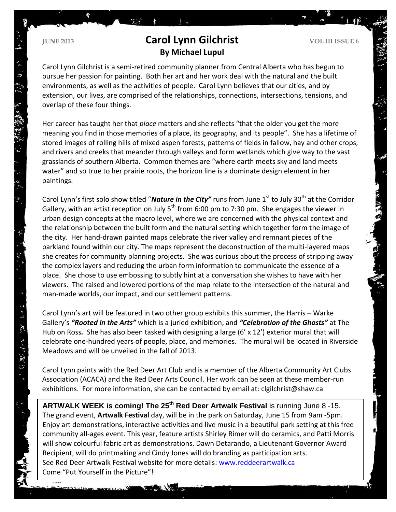### **Carol Lynn Gilchrist VOL III ISSUE 6 Carol Lynn Gilchrist By Michael Lupul**

mas.

Carol Lynn Gilchrist is a semi-retired community planner from Central Alberta who has begun to pursue her passion for painting. Both her art and her work deal with the natural and the built environments, as well as the activities of people. Carol Lynn believes that our cities, and by extension, our lives, are comprised of the relationships, connections, intersections, tensions, and overlap of these four things.

Her career has taught her that *place* matters and she reflects "that the older you get the more meaning you find in those memories of a place, its geography, and its people". She has a lifetime of stored images of rolling hills of mixed aspen forests, patterns of fields in fallow, hay and other crops, and rivers and creeks that meander through valleys and form wetlands which give way to the vast grasslands of southern Alberta. Common themes are "where earth meets sky and land meets water" and so true to her prairie roots, the horizon line is a dominate design element in her paintings.

Carol Lynn's first solo show titled "**Nature in the City"** runs from June 1<sup>st</sup> to July 30<sup>th</sup> at the Corridor Gallery, with an artist reception on July  $5<sup>th</sup>$  from 6:00 pm to 7:30 pm. She engages the viewer in urban design concepts at the macro level, where we are concerned with the physical context and the relationship between the built form and the natural setting which together form the image of the city. Her hand-drawn painted maps celebrate the river valley and remnant pieces of the parkland found within our city. The maps represent the deconstruction of the multi-layered maps she creates for community planning projects. She was curious about the process of stripping away the complex layers and reducing the urban form information to communicate the essence of a place. She chose to use embossing to subtly hint at a conversation she wishes to have with her viewers. The raised and lowered portions of the map relate to the intersection of the natural and man-made worlds, our impact, and our settlement patterns.

Carol Lynn's art will be featured in two other group exhibits this summer, the Harris – Warke Gallery's *"Rooted in the Arts"* which is a juried exhibition, and *"Celebration of the Ghosts"* at The Hub on Ross. She has also been tasked with designing a large (6' x 12') exterior mural that will celebrate one-hundred years of people, place, and memories. The mural will be located in Riverside Meadows and will be unveiled in the fall of 2013.

Carol Lynn paints with the Red Deer Art Club and is a member of the Alberta Community Art Clubs Association (ACACA) and the Red Deer Arts Council. Her work can be seen at these member-run exhibitions. For more information, she can be contacted by email at: clgilchrist@shaw.ca

**ARTWALK WEEK is coming! The 25th Red Deer Artwalk Festival** is running June 8 -15. The grand event, **Artwalk Festival** day, will be in the park on Saturday, June 15 from 9am -5pm. Enjoy art demonstrations, interactive activities and live music in a beautiful park setting at this free community all-ages event. This year, feature artists Shirley Rimer will do ceramics, and Patti Morris will show colourful fabric art as demonstrations. Dawn Detarando, a Lieutenant Governor Award Recipient, will do printmaking and Cindy Jones will do branding as participation arts. See Red Deer Artwalk Festival website for more details: [www.reddeerartwalk.ca](http://www.reddeerartwalk.ca/) Come "Put Yourself in the Picture"!